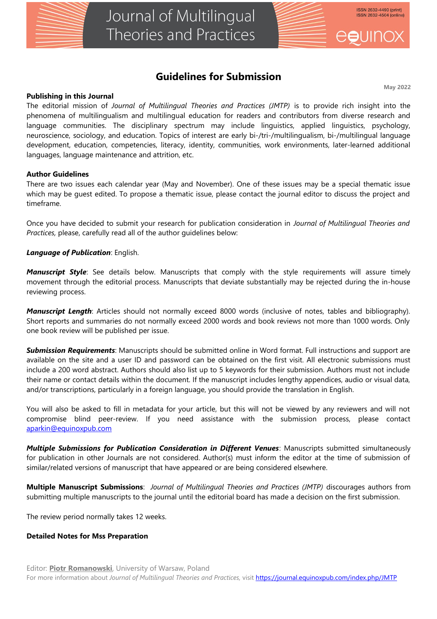

# **Guidelines for Submission**

**May 2022**

#### **Publishing in this Journal**

The editorial mission of *Journal of Multilingual Theories and Practices (JMTP)* is to provide rich insight into the phenomena of multilingualism and multilingual education for readers and contributors from diverse research and language communities. The disciplinary spectrum may include linguistics, applied linguistics, psychology, neuroscience, sociology, and education. Topics of interest are early bi-/tri-/multilingualism, bi-/multilingual language development, education, competencies, literacy, identity, communities, work environments, later-learned additional languages, language maintenance and attrition, etc.

## **Author Guidelines**

There are two issues each calendar year (May and November). One of these issues may be a special thematic issue which may be guest edited. To propose a thematic issue, please contact the journal editor to discuss the project and timeframe.

Once you have decided to submit your research for publication consideration in *Journal of Multilingual Theories and Practices,* please, carefully read all of the author guidelines below:

## *Language of Publication*: English.

*Manuscript Style*: See details below. Manuscripts that comply with the style requirements will assure timely movement through the editorial process. Manuscripts that deviate substantially may be rejected during the in-house reviewing process.

*Manuscript Length*: Articles should not normally exceed 8000 words (inclusive of notes, tables and bibliography). Short reports and summaries do not normally exceed 2000 words and book reviews not more than 1000 words. Only one book review will be published per issue.

*Submission Requirements*: Manuscripts should be submitted online in Word format. Full instructions and support are available on the site and a user ID and password can be obtained on the first visit. All electronic submissions must include a 200 word abstract. Authors should also list up to 5 keywords for their submission. Authors must not include their name or contact details within the document. If the manuscript includes lengthy appendices, audio or visual data, and/or transcriptions, particularly in a foreign language, you should provide the translation in English.

You will also be asked to fill in metadata for your article, but this will not be viewed by any reviewers and will not compromise blind peer-review. If you need assistance with the submission process, please contact [aparkin@equinoxpub.com](mailto:aparkin@equinoxpub.com)

*Multiple Submissions for Publication Consideration in Different Venues*: Manuscripts submitted simultaneously for publication in other Journals are not considered. Author(s) must inform the editor at the time of submission of similar/related versions of manuscript that have appeared or are being considered elsewhere.

**Multiple Manuscript Submissions**: *Journal of Multilingual Theories and Practices (JMTP)* discourages authors from submitting multiple manuscripts to the journal until the editorial board has made a decision on the first submission.

The review period normally takes 12 weeks.

#### **Detailed Notes for Mss Preparation**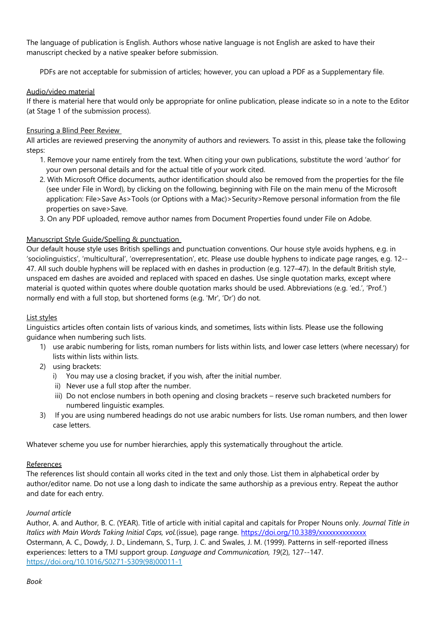The language of publication is English. Authors whose native language is not English are asked to have their manuscript checked by a native speaker before submission.

PDFs are not acceptable for submission of articles; however, you can upload a PDF as a Supplementary file.

# Audio/video material

If there is material here that would only be appropriate for online publication, please indicate so in a note to the Editor (at Stage 1 of the submission process).

# Ensuring a Blind Peer Review

All articles are reviewed preserving the anonymity of authors and reviewers. To assist in this, please take the following steps:

- 1. Remove your name entirely from the text. When citing your own publications, substitute the word 'author' for your own personal details and for the actual title of your work cited.
- 2. With Microsoft Office documents, author identification should also be removed from the properties for the file (see under File in Word), by clicking on the following, beginning with File on the main menu of the Microsoft application: File>Save As>Tools (or Options with a Mac)>Security>Remove personal information from the file properties on save>Save.
- 3. On any PDF uploaded, remove author names from Document Properties found under File on Adobe.

## Manuscript Style Guide/Spelling & punctuation

Our default house style uses British spellings and punctuation conventions. Our house style avoids hyphens, e.g. in 'sociolinguistics', 'multicultural', 'overrepresentation', etc. Please use double hyphens to indicate page ranges, e.g. 12-- 47. All such double hyphens will be replaced with en dashes in production (e.g. 127–47). In the default British style, unspaced em dashes are avoided and replaced with spaced en dashes. Use single quotation marks, except where material is quoted within quotes where double quotation marks should be used. Abbreviations (e.g. 'ed.', 'Prof.') normally end with a full stop, but shortened forms (e.g. 'Mr', 'Dr') do not.

#### List styles

Linguistics articles often contain lists of various kinds, and sometimes, lists within lists. Please use the following guidance when numbering such lists.

- 1) use arabic numbering for lists, roman numbers for lists within lists, and lower case letters (where necessary) for lists within lists within lists.
- 2) using brackets:
	- i) You may use a closing bracket, if you wish, after the initial number.
	- ii) Never use a full stop after the number.
	- iii) Do not enclose numbers in both opening and closing brackets reserve such bracketed numbers for numbered linguistic examples.
- 3) If you are using numbered headings do not use arabic numbers for lists. Use roman numbers, and then lower case letters.

Whatever scheme you use for number hierarchies, apply this systematically throughout the article.

#### References

The references list should contain all works cited in the text and only those. List them in alphabetical order by author/editor name. Do not use a long dash to indicate the same authorship as a previous entry. Repeat the author and date for each entry.

#### *Journal article*

Author, A. and Author, B. C. (YEAR). Title of article with initial capital and capitals for Proper Nouns only. *Journal Title in Italics with Main Words Taking Initial Caps, vol.*(issue), page range.<https://doi.org/10.3389/xxxxxxxxxxxxxx> Ostermann, A. C., Dowdy, J. D., Lindemann, S., Turp, J. C. and Swales, J. M. (1999). Patterns in self-reported illness experiences: letters to a TMJ support group. *Language and Communication, 19*(2), 127--147. [https://doi.org/10.1016/S0271-5309\(98\)00011-1](https://doi.org/10.1016/S0271-5309(98)00011-1)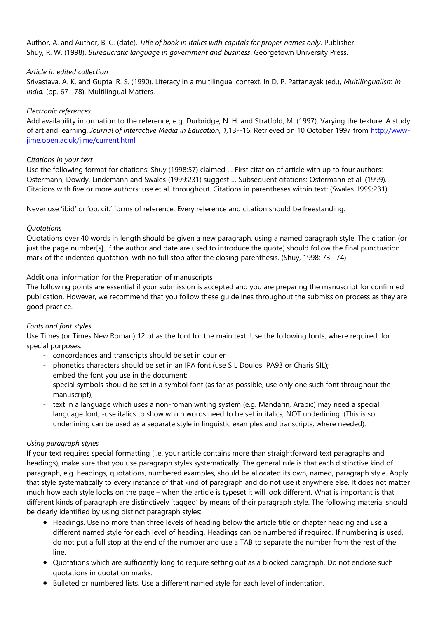Author, A. and Author, B. C. (date). *Title of book in italics with capitals for proper names only*. Publisher. Shuy, R. W. (1998). *Bureaucratic language in government and business*. Georgetown University Press.

## *Article in edited collection*

Srivastava, A. K. and Gupta, R. S. (1990). Literacy in a multilingual context. In D. P. Pattanayak (ed.), *Multilingualism in India.* (pp. 67--78). Multilingual Matters.

## *Electronic references*

Add availability information to the reference, e.g: Durbridge, N. H. and Stratfold, M. (1997). Varying the texture: A study of art and learning. *Journal of Interactive Media in Education, 1,*13--16. Retrieved on 10 October 1997 from [http://www](http://www-jime.open.ac.uk/jime/current.html)[jime.open.ac.uk/jime/current.html](http://www-jime.open.ac.uk/jime/current.html)

## *Citations in your text*

Use the following format for citations: Shuy (1998:57) claimed … First citation of article with up to four authors: Ostermann, Dowdy, Lindemann and Swales (1999:231) suggest … Subsequent citations: Ostermann et al. (1999). Citations with five or more authors: use et al. throughout. Citations in parentheses within text: (Swales 1999:231).

Never use 'ibid' or 'op. cit.' forms of reference. Every reference and citation should be freestanding.

## *Quotations*

Quotations over 40 words in length should be given a new paragraph, using a named paragraph style. The citation (or just the page number[s], if the author and date are used to introduce the quote) should follow the final punctuation mark of the indented quotation, with no full stop after the closing parenthesis. (Shuy, 1998: 73--74)

## Additional information for the Preparation of manuscripts

The following points are essential if your submission is accepted and you are preparing the manuscript for confirmed publication. However, we recommend that you follow these guidelines throughout the submission process as they are good practice.

# *Fonts and font styles*

Use Times (or Times New Roman) 12 pt as the font for the main text. Use the following fonts, where required, for special purposes:

- concordances and transcripts should be set in courier;
- phonetics characters should be set in an IPA font (use SIL Doulos IPA93 or Charis SIL); embed the font you use in the document;
- special symbols should be set in a symbol font (as far as possible, use only one such font throughout the manuscript);
- text in a language which uses a non-roman writing system (e.g. Mandarin, Arabic) may need a special language font; -use italics to show which words need to be set in italics, NOT underlining. (This is so underlining can be used as a separate style in linguistic examples and transcripts, where needed).

# *Using paragraph styles*

If your text requires special formatting (i.e. your article contains more than straightforward text paragraphs and headings), make sure that you use paragraph styles systematically. The general rule is that each distinctive kind of paragraph, e.g. headings, quotations, numbered examples, should be allocated its own, named, paragraph style. Apply that style systematically to every instance of that kind of paragraph and do not use it anywhere else. It does not matter much how each style looks on the page – when the article is typeset it will look different. What is important is that different kinds of paragraph are distinctively 'tagged' by means of their paragraph style. The following material should be clearly identified by using distinct paragraph styles:

- Headings. Use no more than three levels of heading below the article title or chapter heading and use a different named style for each level of heading. Headings can be numbered if required. If numbering is used, do not put a full stop at the end of the number and use a TAB to separate the number from the rest of the line.
- Quotations which are sufficiently long to require setting out as a blocked paragraph. Do not enclose such quotations in quotation marks.
- **•** Bulleted or numbered lists. Use a different named style for each level of indentation.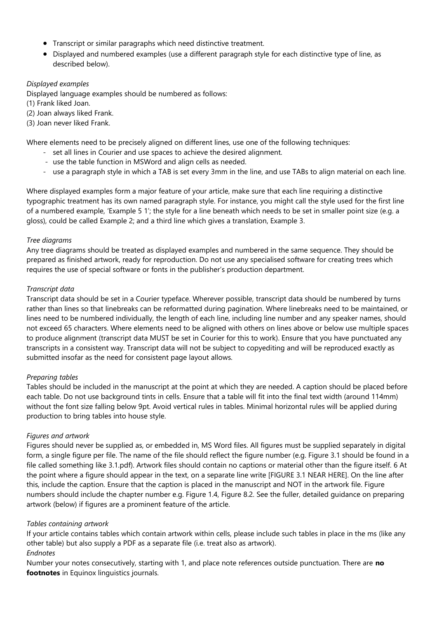- Transcript or similar paragraphs which need distinctive treatment.
- Displayed and numbered examples (use a different paragraph style for each distinctive type of line, as described below).

# *Displayed examples*

Displayed language examples should be numbered as follows:

(1) Frank liked Joan.

(2) Joan always liked Frank.

(3) Joan never liked Frank.

Where elements need to be precisely aligned on different lines, use one of the following techniques:

- set all lines in Courier and use spaces to achieve the desired alignment.
- use the table function in MSWord and align cells as needed.
- use a paragraph style in which a TAB is set every 3mm in the line, and use TABs to align material on each line.

Where displayed examples form a major feature of your article, make sure that each line requiring a distinctive typographic treatment has its own named paragraph style. For instance, you might call the style used for the first line of a numbered example, 'Example 5 1'; the style for a line beneath which needs to be set in smaller point size (e.g. a gloss), could be called Example 2; and a third line which gives a translation, Example 3.

## *Tree diagrams*

Any tree diagrams should be treated as displayed examples and numbered in the same sequence. They should be prepared as finished artwork, ready for reproduction. Do not use any specialised software for creating trees which requires the use of special software or fonts in the publisher's production department.

## *Transcript data*

Transcript data should be set in a Courier typeface. Wherever possible, transcript data should be numbered by turns rather than lines so that linebreaks can be reformatted during pagination. Where linebreaks need to be maintained, or lines need to be numbered individually, the length of each line, including line number and any speaker names, should not exceed 65 characters. Where elements need to be aligned with others on lines above or below use multiple spaces to produce alignment (transcript data MUST be set in Courier for this to work). Ensure that you have punctuated any transcripts in a consistent way. Transcript data will not be subject to copyediting and will be reproduced exactly as submitted insofar as the need for consistent page layout allows.

# *Preparing tables*

Tables should be included in the manuscript at the point at which they are needed. A caption should be placed before each table. Do not use background tints in cells. Ensure that a table will fit into the final text width (around 114mm) without the font size falling below 9pt. Avoid vertical rules in tables. Minimal horizontal rules will be applied during production to bring tables into house style.

# *Figures and artwork*

Figures should never be supplied as, or embedded in, MS Word files. All figures must be supplied separately in digital form, a single figure per file. The name of the file should reflect the figure number (e.g. Figure 3.1 should be found in a file called something like 3.1.pdf). Artwork files should contain no captions or material other than the figure itself. 6 At the point where a figure should appear in the text, on a separate line write [FIGURE 3.1 NEAR HERE]. On the line after this, include the caption. Ensure that the caption is placed in the manuscript and NOT in the artwork file. Figure numbers should include the chapter number e.g. Figure 1.4, Figure 8.2. See the fuller, detailed guidance on preparing artwork (below) if figures are a prominent feature of the article.

# *Tables containing artwork*

If your article contains tables which contain artwork within cells, please include such tables in place in the ms (like any other table) but also supply a PDF as a separate file (i.e. treat also as artwork).

#### *Endnotes*

Number your notes consecutively, starting with 1, and place note references outside punctuation. There are **no footnotes** in Equinox linguistics journals.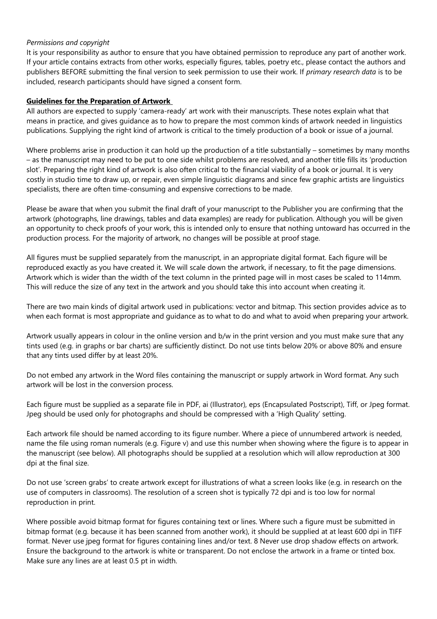## *Permissions and copyright*

It is your responsibility as author to ensure that you have obtained permission to reproduce any part of another work. If your article contains extracts from other works, especially figures, tables, poetry etc., please contact the authors and publishers BEFORE submitting the final version to seek permission to use their work. If *primary research data* is to be included, research participants should have signed a consent form.

## **Guidelines for the Preparation of Artwork**

All authors are expected to supply 'camera-ready' art work with their manuscripts. These notes explain what that means in practice, and gives guidance as to how to prepare the most common kinds of artwork needed in linguistics publications. Supplying the right kind of artwork is critical to the timely production of a book or issue of a journal.

Where problems arise in production it can hold up the production of a title substantially – sometimes by many months – as the manuscript may need to be put to one side whilst problems are resolved, and another title fills its 'production slot'. Preparing the right kind of artwork is also often critical to the financial viability of a book or journal. It is very costly in studio time to draw up, or repair, even simple linguistic diagrams and since few graphic artists are linguistics specialists, there are often time-consuming and expensive corrections to be made.

Please be aware that when you submit the final draft of your manuscript to the Publisher you are confirming that the artwork (photographs, line drawings, tables and data examples) are ready for publication. Although you will be given an opportunity to check proofs of your work, this is intended only to ensure that nothing untoward has occurred in the production process. For the majority of artwork, no changes will be possible at proof stage.

All figures must be supplied separately from the manuscript, in an appropriate digital format. Each figure will be reproduced exactly as you have created it. We will scale down the artwork, if necessary, to fit the page dimensions. Artwork which is wider than the width of the text column in the printed page will in most cases be scaled to 114mm. This will reduce the size of any text in the artwork and you should take this into account when creating it.

There are two main kinds of digital artwork used in publications: vector and bitmap. This section provides advice as to when each format is most appropriate and guidance as to what to do and what to avoid when preparing your artwork.

Artwork usually appears in colour in the online version and b/w in the print version and you must make sure that any tints used (e.g. in graphs or bar charts) are sufficiently distinct. Do not use tints below 20% or above 80% and ensure that any tints used differ by at least 20%.

Do not embed any artwork in the Word files containing the manuscript or supply artwork in Word format. Any such artwork will be lost in the conversion process.

Each figure must be supplied as a separate file in PDF, ai (Illustrator), eps (Encapsulated Postscript), Tiff, or Jpeg format. Jpeg should be used only for photographs and should be compressed with a 'High Quality' setting.

Each artwork file should be named according to its figure number. Where a piece of unnumbered artwork is needed, name the file using roman numerals (e.g. Figure v) and use this number when showing where the figure is to appear in the manuscript (see below). All photographs should be supplied at a resolution which will allow reproduction at 300 dpi at the final size.

Do not use 'screen grabs' to create artwork except for illustrations of what a screen looks like (e.g. in research on the use of computers in classrooms). The resolution of a screen shot is typically 72 dpi and is too low for normal reproduction in print.

Where possible avoid bitmap format for figures containing text or lines. Where such a figure must be submitted in bitmap format (e.g. because it has been scanned from another work), it should be supplied at at least 600 dpi in TIFF format. Never use jpeg format for figures containing lines and/or text. 8 Never use drop shadow effects on artwork. Ensure the background to the artwork is white or transparent. Do not enclose the artwork in a frame or tinted box. Make sure any lines are at least 0.5 pt in width.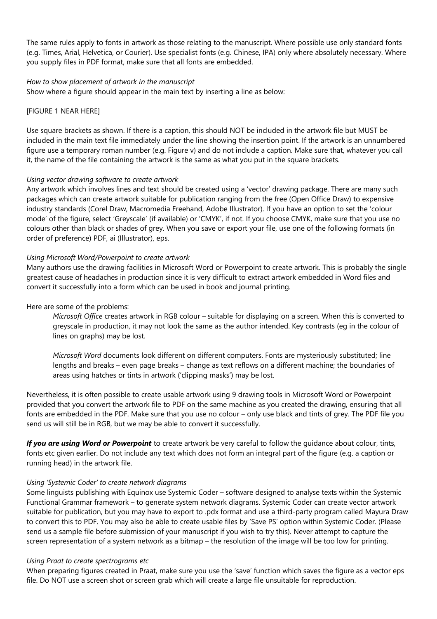The same rules apply to fonts in artwork as those relating to the manuscript. Where possible use only standard fonts (e.g. Times, Arial, Helvetica, or Courier). Use specialist fonts (e.g. Chinese, IPA) only where absolutely necessary. Where you supply files in PDF format, make sure that all fonts are embedded.

#### *How to show placement of artwork in the manuscript*

Show where a figure should appear in the main text by inserting a line as below:

#### [FIGURE 1 NEAR HERE]

Use square brackets as shown. If there is a caption, this should NOT be included in the artwork file but MUST be included in the main text file immediately under the line showing the insertion point. If the artwork is an unnumbered figure use a temporary roman number (e.g. Figure v) and do not include a caption. Make sure that, whatever you call it, the name of the file containing the artwork is the same as what you put in the square brackets.

## *Using vector drawing software to create artwork*

Any artwork which involves lines and text should be created using a 'vector' drawing package. There are many such packages which can create artwork suitable for publication ranging from the free (Open Office Draw) to expensive industry standards (Corel Draw, Macromedia Freehand, Adobe Illustrator). If you have an option to set the 'colour mode' of the figure, select 'Greyscale' (if available) or 'CMYK', if not. If you choose CMYK, make sure that you use no colours other than black or shades of grey. When you save or export your file, use one of the following formats (in order of preference) PDF, ai (Illustrator), eps.

## *Using Microsoft Word/Powerpoint to create artwork*

Many authors use the drawing facilities in Microsoft Word or Powerpoint to create artwork. This is probably the single greatest cause of headaches in production since it is very difficult to extract artwork embedded in Word files and convert it successfully into a form which can be used in book and journal printing.

#### Here are some of the problems:

*Microsoft Office* creates artwork in RGB colour – suitable for displaying on a screen. When this is converted to greyscale in production, it may not look the same as the author intended. Key contrasts (eg in the colour of lines on graphs) may be lost.

*Microsoft Word* documents look different on different computers. Fonts are mysteriously substituted; line lengths and breaks – even page breaks – change as text reflows on a different machine; the boundaries of areas using hatches or tints in artwork ('clipping masks') may be lost.

Nevertheless, it is often possible to create usable artwork using 9 drawing tools in Microsoft Word or Powerpoint provided that you convert the artwork file to PDF on the same machine as you created the drawing, ensuring that all fonts are embedded in the PDF. Make sure that you use no colour – only use black and tints of grey. The PDF file you send us will still be in RGB, but we may be able to convert it successfully.

*If you are using Word or Powerpoint* to create artwork be very careful to follow the guidance about colour, tints, fonts etc given earlier. Do not include any text which does not form an integral part of the figure (e.g. a caption or running head) in the artwork file.

#### *Using 'Systemic Coder' to create network diagrams*

Some linguists publishing with Equinox use Systemic Coder – software designed to analyse texts within the Systemic Functional Grammar framework – to generate system network diagrams. Systemic Coder can create vector artwork suitable for publication, but you may have to export to .pdx format and use a third-party program called Mayura Draw to convert this to PDF. You may also be able to create usable files by 'Save PS' option within Systemic Coder. (Please send us a sample file before submission of your manuscript if you wish to try this). Never attempt to capture the screen representation of a system network as a bitmap – the resolution of the image will be too low for printing.

#### *Using Praat to create spectrograms etc*

When preparing figures created in Praat, make sure you use the 'save' function which saves the figure as a vector eps file. Do NOT use a screen shot or screen grab which will create a large file unsuitable for reproduction.